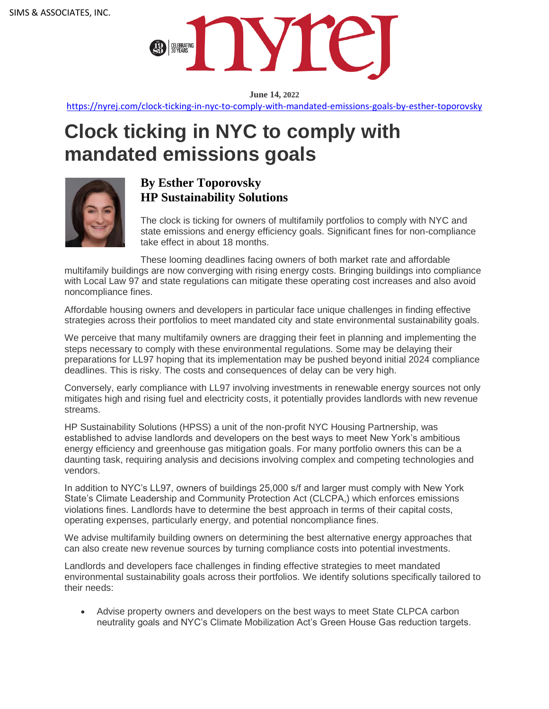

**June 14, 2022**

<https://nyrej.com/clock-ticking-in-nyc-to-comply-with-mandated-emissions-goals-by-esther-toporovsky>

## **Clock ticking in NYC to comply with mandated emissions goals**



## **By Esther Toporovsky HP Sustainability Solutions**

The clock is ticking for owners of multifamily portfolios to comply with NYC and state emissions and energy efficiency goals. Significant fines for non-compliance take effect in about 18 months.

These looming deadlines facing owners of both market rate and affordable multifamily buildings are now converging with rising energy costs. Bringing buildings into compliance with Local Law 97 and state regulations can mitigate these operating cost increases and also avoid noncompliance fines.

Affordable housing owners and developers in particular face unique challenges in finding effective strategies across their portfolios to meet mandated city and state environmental sustainability goals.

We perceive that many multifamily owners are dragging their feet in planning and implementing the steps necessary to comply with these environmental regulations. Some may be delaying their preparations for LL97 hoping that its implementation may be pushed beyond initial 2024 compliance deadlines. This is risky. The costs and consequences of delay can be very high.

Conversely, early compliance with LL97 involving investments in renewable energy sources not only mitigates high and rising fuel and electricity costs, it potentially provides landlords with new revenue streams.

HP Sustainability Solutions (HPSS) a unit of the non-profit NYC Housing Partnership, was established to advise landlords and developers on the best ways to meet New York's ambitious energy efficiency and greenhouse gas mitigation goals. For many portfolio owners this can be a daunting task, requiring analysis and decisions involving complex and competing technologies and vendors.

In addition to NYC's LL97, owners of buildings 25,000 s/f and larger must comply with New York State's Climate Leadership and Community Protection Act (CLCPA,) which enforces emissions violations fines. Landlords have to determine the best approach in terms of their capital costs, operating expenses, particularly energy, and potential noncompliance fines.

We advise multifamily building owners on determining the best alternative energy approaches that can also create new revenue sources by turning compliance costs into potential investments.

Landlords and developers face challenges in finding effective strategies to meet mandated environmental sustainability goals across their portfolios. We identify solutions specifically tailored to their needs:

• Advise property owners and developers on the best ways to meet State CLPCA carbon neutrality goals and NYC's Climate Mobilization Act's Green House Gas reduction targets.